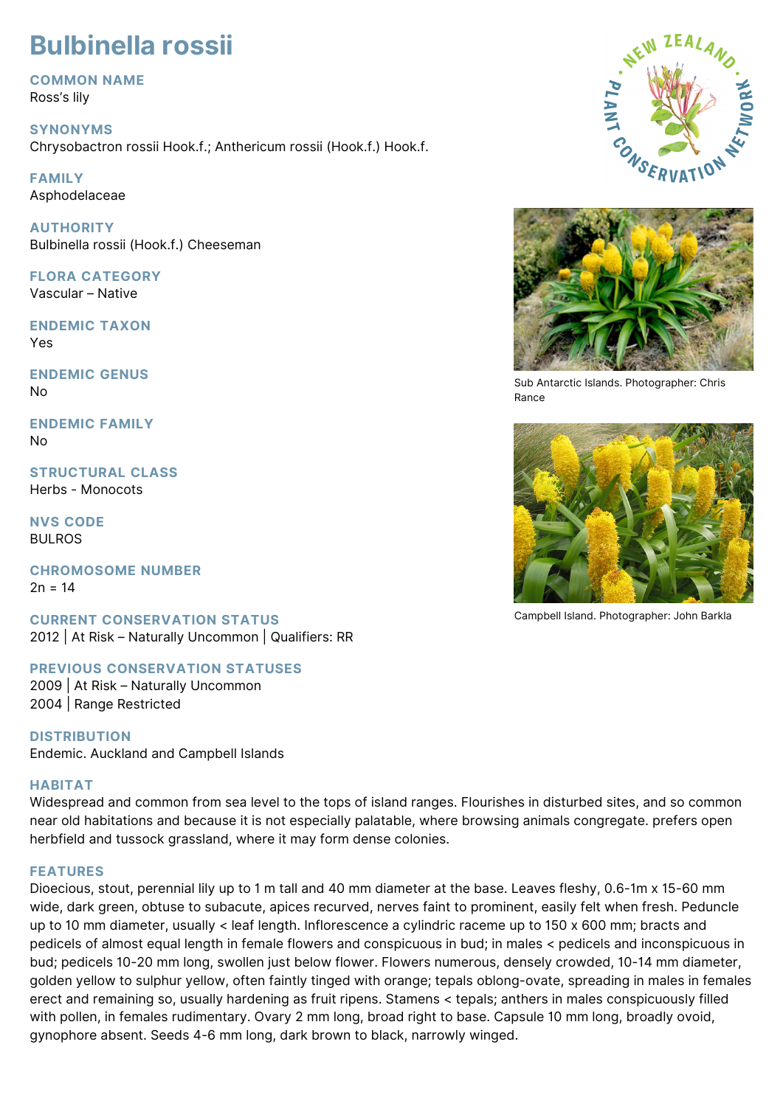# **Bulbinella rossii**

**COMMON NAME** Ross's lily

**SYNONYMS** Chrysobactron rossii Hook.f.; Anthericum rossii (Hook.f.) Hook.f.

**FAMILY** Asphodelaceae

**AUTHORITY** Bulbinella rossii (Hook.f.) Cheeseman

**FLORA CATEGORY** Vascular – Native

**ENDEMIC TAXON** Yes

**ENDEMIC GENUS** No

**ENDEMIC FAMILY**  $N<sub>0</sub>$ 

**STRUCTURAL CLASS** Herbs - Monocots

**NVS CODE** BULROS

**CHROMOSOME NUMBER**  $2n = 14$ 

**CURRENT CONSERVATION STATUS** 2012 | At Risk – Naturally Uncommon | Qualifiers: RR

**PREVIOUS CONSERVATION STATUSES** 2009 | At Risk – Naturally Uncommon 2004 | Range Restricted

**DISTRIBUTION** Endemic. Auckland and Campbell Islands

# **HABITAT**

Widespread and common from sea level to the tops of island ranges. Flourishes in disturbed sites, and so common near old habitations and because it is not especially palatable, where browsing animals congregate. prefers open herbfield and tussock grassland, where it may form dense colonies.

# **FEATURES**

Dioecious, stout, perennial lily up to 1 m tall and 40 mm diameter at the base. Leaves fleshy, 0.6-1m x 15-60 mm wide, dark green, obtuse to subacute, apices recurved, nerves faint to prominent, easily felt when fresh. Peduncle up to 10 mm diameter, usually < leaf length. Inflorescence a cylindric raceme up to 150 x 600 mm; bracts and pedicels of almost equal length in female flowers and conspicuous in bud; in males < pedicels and inconspicuous in bud; pedicels 10-20 mm long, swollen just below flower. Flowers numerous, densely crowded, 10-14 mm diameter, golden yellow to sulphur yellow, often faintly tinged with orange; tepals oblong-ovate, spreading in males in females erect and remaining so, usually hardening as fruit ripens. Stamens < tepals; anthers in males conspicuously filled with pollen, in females rudimentary. Ovary 2 mm long, broad right to base. Capsule 10 mm long, broadly ovoid, gynophore absent. Seeds 4-6 mm long, dark brown to black, narrowly winged.





Sub Antarctic Islands. Photographer: Chris Rance



Campbell Island. Photographer: John Barkla